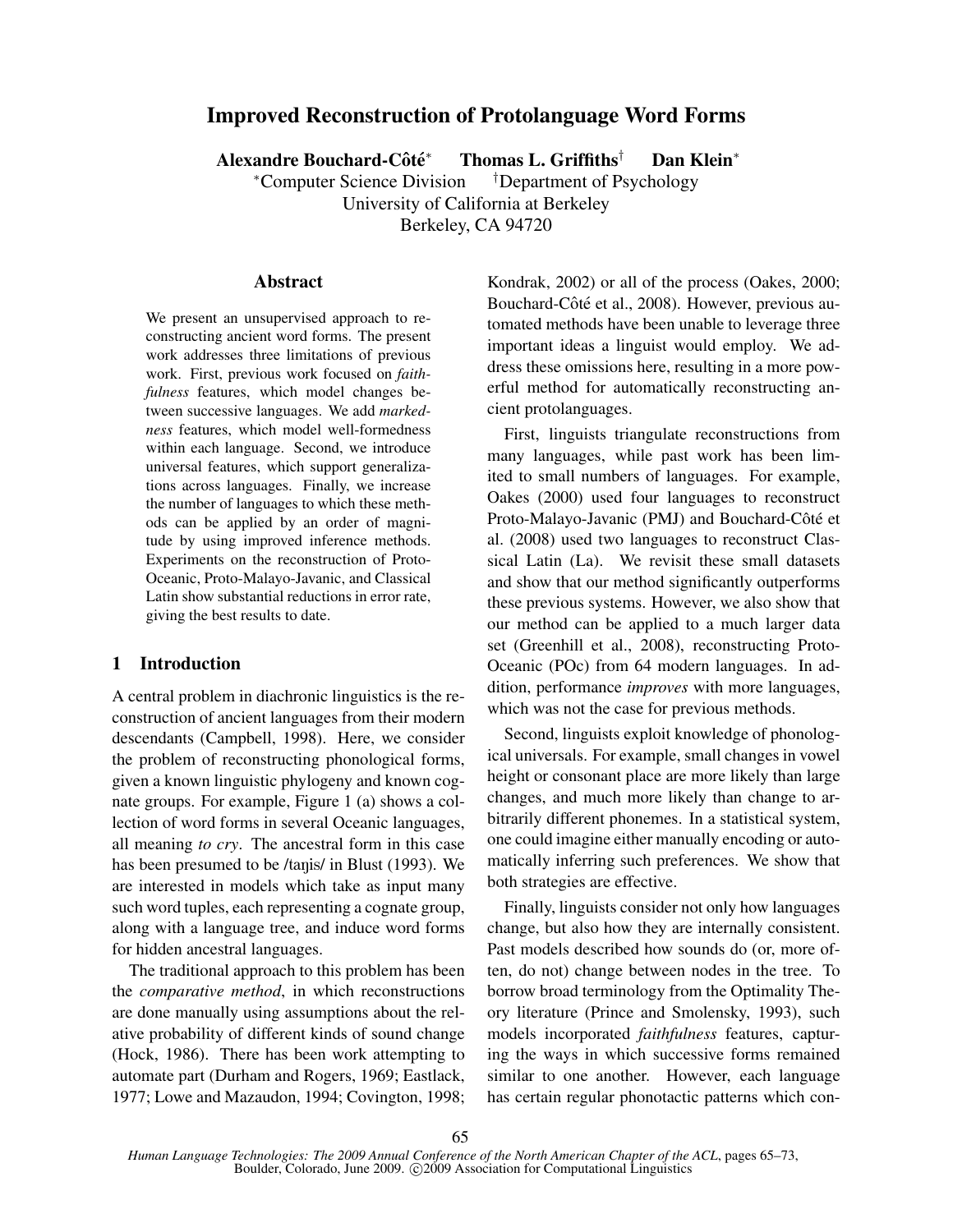# Improved Reconstruction of Protolanguage Word Forms

Alexandre Bouchard-Côté $*$ <sup>∗</sup> Thomas L. Griffiths† Dan Klein<sup>∗</sup>

<sup>∗</sup>Computer Science Division †Department of Psychology University of California at Berkeley

Berkeley, CA 94720

# Abstract

We present an unsupervised approach to reconstructing ancient word forms. The present work addresses three limitations of previous work. First, previous work focused on *faithfulness* features, which model changes between successive languages. We add *markedness* features, which model well-formedness within each language. Second, we introduce universal features, which support generalizations across languages. Finally, we increase the number of languages to which these methods can be applied by an order of magnitude by using improved inference methods. Experiments on the reconstruction of Proto-Oceanic, Proto-Malayo-Javanic, and Classical Latin show substantial reductions in error rate, giving the best results to date.

### 1 Introduction

A central problem in diachronic linguistics is the reconstruction of ancient languages from their modern descendants (Campbell, 1998). Here, we consider the problem of reconstructing phonological forms, given a known linguistic phylogeny and known cognate groups. For example, Figure 1 (a) shows a collection of word forms in several Oceanic languages, all meaning *to cry*. The ancestral form in this case has been presumed to be /tanis/ in Blust (1993). We are interested in models which take as input many such word tuples, each representing a cognate group, along with a language tree, and induce word forms for hidden ancestral languages.

The traditional approach to this problem has been the *comparative method*, in which reconstructions are done manually using assumptions about the relative probability of different kinds of sound change (Hock, 1986). There has been work attempting to automate part (Durham and Rogers, 1969; Eastlack, 1977; Lowe and Mazaudon, 1994; Covington, 1998; Kondrak, 2002) or all of the process (Oakes, 2000; Bouchard-Côté et al., 2008). However, previous automated methods have been unable to leverage three important ideas a linguist would employ. We address these omissions here, resulting in a more powerful method for automatically reconstructing ancient protolanguages.

First, linguists triangulate reconstructions from many languages, while past work has been limited to small numbers of languages. For example, Oakes (2000) used four languages to reconstruct Proto-Malayo-Javanic (PMJ) and Bouchard-Côté et al. (2008) used two languages to reconstruct Classical Latin (La). We revisit these small datasets and show that our method significantly outperforms these previous systems. However, we also show that our method can be applied to a much larger data set (Greenhill et al., 2008), reconstructing Proto-Oceanic (POc) from 64 modern languages. In addition, performance *improves* with more languages, which was not the case for previous methods.

Second, linguists exploit knowledge of phonological universals. For example, small changes in vowel height or consonant place are more likely than large changes, and much more likely than change to arbitrarily different phonemes. In a statistical system, one could imagine either manually encoding or automatically inferring such preferences. We show that both strategies are effective.

Finally, linguists consider not only how languages change, but also how they are internally consistent. Past models described how sounds do (or, more often, do not) change between nodes in the tree. To borrow broad terminology from the Optimality Theory literature (Prince and Smolensky, 1993), such models incorporated *faithfulness* features, capturing the ways in which successive forms remained similar to one another. However, each language has certain regular phonotactic patterns which con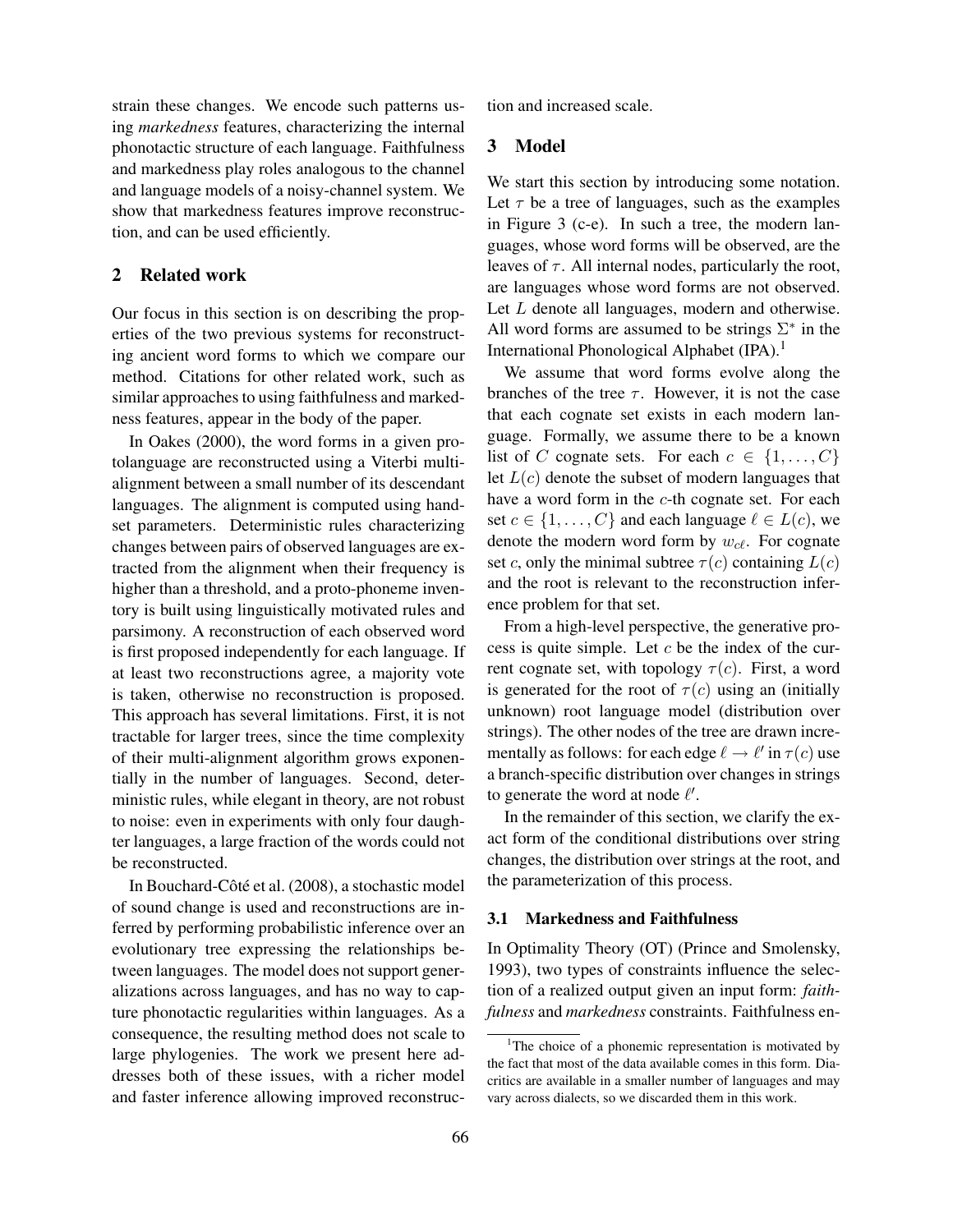strain these changes. We encode such patterns using *markedness* features, characterizing the internal phonotactic structure of each language. Faithfulness and markedness play roles analogous to the channel and language models of a noisy-channel system. We show that markedness features improve reconstruction, and can be used efficiently.

### 2 Related work

Our focus in this section is on describing the properties of the two previous systems for reconstructing ancient word forms to which we compare our method. Citations for other related work, such as similar approaches to using faithfulness and markedness features, appear in the body of the paper.

In Oakes (2000), the word forms in a given protolanguage are reconstructed using a Viterbi multialignment between a small number of its descendant languages. The alignment is computed using handset parameters. Deterministic rules characterizing changes between pairs of observed languages are extracted from the alignment when their frequency is higher than a threshold, and a proto-phoneme inventory is built using linguistically motivated rules and parsimony. A reconstruction of each observed word is first proposed independently for each language. If at least two reconstructions agree, a majority vote is taken, otherwise no reconstruction is proposed. This approach has several limitations. First, it is not tractable for larger trees, since the time complexity of their multi-alignment algorithm grows exponentially in the number of languages. Second, deterministic rules, while elegant in theory, are not robust to noise: even in experiments with only four daughter languages, a large fraction of the words could not be reconstructed.

In Bouchard-Côté et al. (2008), a stochastic model of sound change is used and reconstructions are inferred by performing probabilistic inference over an evolutionary tree expressing the relationships between languages. The model does not support generalizations across languages, and has no way to capture phonotactic regularities within languages. As a consequence, the resulting method does not scale to large phylogenies. The work we present here addresses both of these issues, with a richer model and faster inference allowing improved reconstruction and increased scale.

## 3 Model

We start this section by introducing some notation. Let  $\tau$  be a tree of languages, such as the examples in Figure 3 (c-e). In such a tree, the modern languages, whose word forms will be observed, are the leaves of  $\tau$ . All internal nodes, particularly the root, are languages whose word forms are not observed. Let L denote all languages, modern and otherwise. All word forms are assumed to be strings  $\Sigma^*$  in the International Phonological Alphabet (IPA).<sup>1</sup>

We assume that word forms evolve along the branches of the tree  $\tau$ . However, it is not the case that each cognate set exists in each modern language. Formally, we assume there to be a known list of C cognate sets. For each  $c \in \{1, \ldots, C\}$ let  $L(c)$  denote the subset of modern languages that have a word form in the c-th cognate set. For each set  $c \in \{1, \ldots, C\}$  and each language  $\ell \in L(c)$ , we denote the modern word form by  $w_{c\ell}$ . For cognate set c, only the minimal subtree  $\tau(c)$  containing  $L(c)$ and the root is relevant to the reconstruction inference problem for that set.

From a high-level perspective, the generative process is quite simple. Let  $c$  be the index of the current cognate set, with topology  $\tau(c)$ . First, a word is generated for the root of  $\tau(c)$  using an (initially unknown) root language model (distribution over strings). The other nodes of the tree are drawn incrementally as follows: for each edge  $\ell \to \ell'$  in  $\tau(c)$  use a branch-specific distribution over changes in strings to generate the word at node  $\ell'$ .

In the remainder of this section, we clarify the exact form of the conditional distributions over string changes, the distribution over strings at the root, and the parameterization of this process.

#### 3.1 Markedness and Faithfulness

In Optimality Theory (OT) (Prince and Smolensky, 1993), two types of constraints influence the selection of a realized output given an input form: *faithfulness* and *markedness* constraints. Faithfulness en-

<sup>&</sup>lt;sup>1</sup>The choice of a phonemic representation is motivated by the fact that most of the data available comes in this form. Diacritics are available in a smaller number of languages and may vary across dialects, so we discarded them in this work.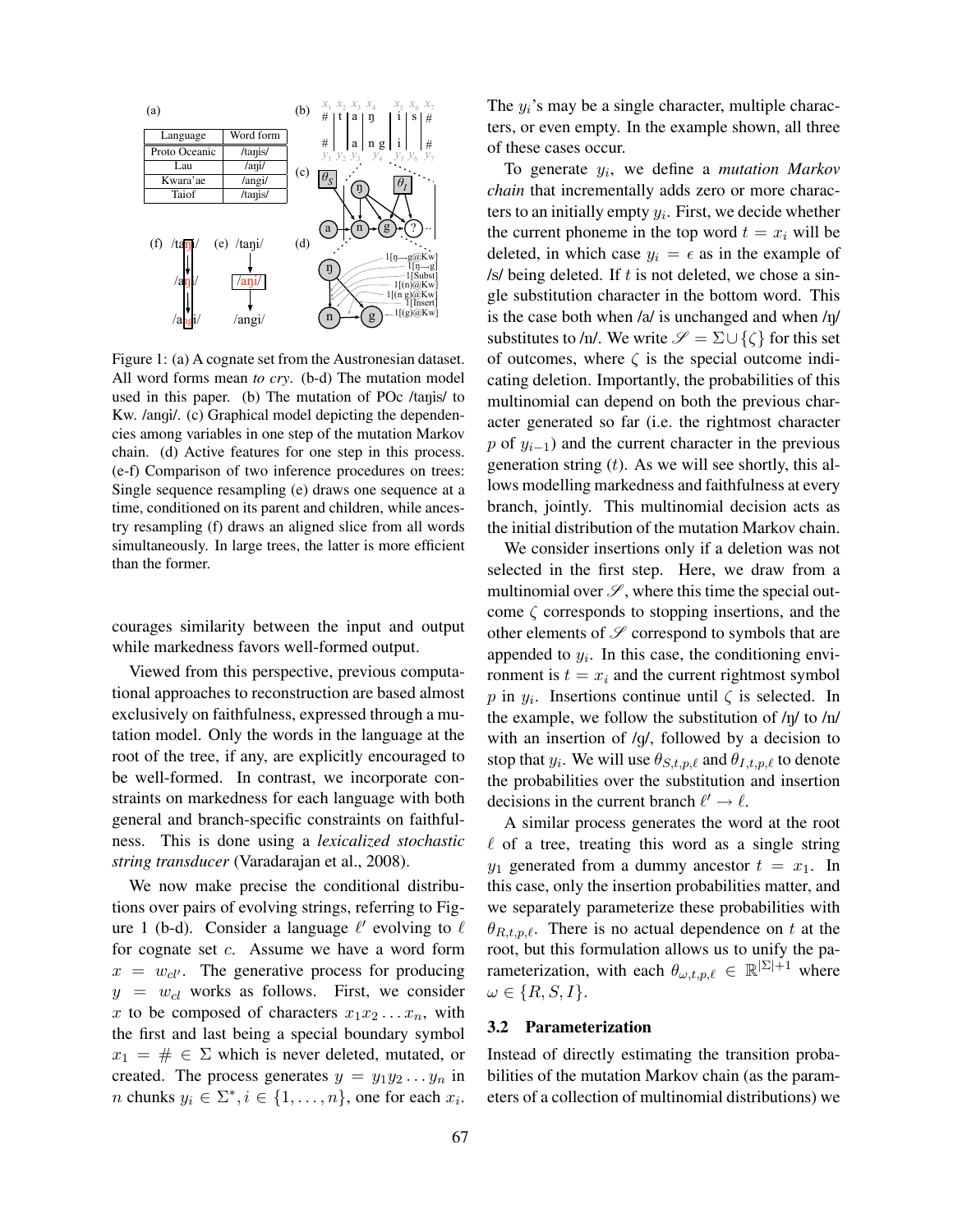

system. We show that markedness features greatly Figure 1: (a) A cognate set from the Austronesian dataset. All word forms mean *to cry*. (b-d) The mutation model Kw. /angi/. (c) Graphical model depicting the dependencies among variables in one step of the mutation Markov chain. (d) Active features for one step in this process.  $P$  or  $y_{i-1}$  and the c (e-f) Comparison of two inference procedures on trees:  $\frac{1}{\alpha}$  comparison of the interest  $\beta$ Single sequence resampling (e) draws one sequence at a time, conditioned on its parent and children, while ances-<br>branch, jointly try resampling (f) draws an aligned slice from all words simultaneously. In large trees, the latter is more efficient than the former. languages. The alignment is computed using handused in this paper. (b) The mutation of POc /tanis/ to  $\frac{1}{2}$  multinomial can der

courages similarity between the input and output  $\frac{\text{const}}{\text{other elements of }\varphi}$ higher than a threshold, and a proto-phoneme invenwhile markedness favors well-formed output.

Viewed from this perspective, previous computais first proposed in dependently for each language. If  $\mathbf{r}$ tional approaches to reconstruction are based almost  $p$  in  $y_i$ . Insertions exclusively on faithfulness, expressed through a mutation model. Only the words in the language at the  $\frac{1}{2}$  and the complexity of  $\frac{1}{2}$  and  $\frac{1}{2}$  and  $\frac{1}{2}$  and  $\frac{1}{2}$ root of the tree, if any, are explicitly encouraged to stop that  $y_i$ . We will be well-formed. In contrast, we incorporate constraints on markedness for each language with both decisions in the curr  $\frac{1}{2}$  is even in the experiment of  $\frac{1}{2}$  four data only four data  $\frac{1}{2}$ general and branch-specific constraints on faithful-<br>A similar process ness. This is done using a *lexicalized stochastic*  $\ell$  of a tree, treating <sup>otring</sup> transducer (Verederaion et a *string transducer* (Varadarajan et al., 2008).

We now make precise the conditional distributions over pairs of evolving strings, referring to Figure 1 (b-d). Consider a language  $\ell'$  evolving to  $\ell$ for cognate set c. Assume we have a word form  $x = w_{cl}$ . The generative process for producing  $y = w_{cl}$  works as follows. First, we consider x to be composed of characters  $x_1x_2 \ldots x_n$ , with the first and last being a special boundary symbol  $x_1 = # \in \Sigma$  which is never deleted, mutated, or created. The process generates  $y = y_1y_2...y_n$  in *n* chunks  $y_i \in \Sigma^*, i \in \{1, \ldots, n\}$ , one for each  $x_i$ .

 $\begin{bmatrix} \n a & b \\
c & d\n \end{bmatrix}$  $\begin{array}{cc} \log |v_1| & \# \\ y_4 & y_5 y_6 & y_7 \end{array}$  of these cases occur. The  $y_i$ 's may be a single character, multiple characters, or even empty. In the example shown, all three

 $\sum_{n=1}^{\infty}$  To generate  $y_i$ , we define a *mutation Markov*  $\left[\begin{array}{cc} \theta_I \end{array}\right]$  *chain* that incrementally adds zero or more charac- $\bigwedge \bigwedge$  and is computation in the result of  $\bigwedge$ ters to an initially empty  $y_i$ . First, we decide whether  $\mathcal{F}(\mathcal{Y}|\mathcal{Y})$  the current phoneme in the top word  $t = x_i$  will be  $\frac{1}{2}$  probability in  $\frac{1}{2}$  deleted in which  $\frac{1}{2}$  $\ell_{\text{min}}$  in  $\ell_{\text{min}}$  deleted, in which case  $y_i = \epsilon$  as in the example of  $\frac{f(t) - f(t)}{f(t)}$  /s/ being deleted. If t is not deleted, we chose a sin- $\frac{1}{\binom{n}{2}aKw}$  gle substitution character in the bottom word. This where  $w = \frac{1}{\log N}$  we present here is the second here is the substantial of the theorem is the theorem in the substantial of the substantial order of the substantial order of the substantial order of the substantial orde  $(g)^{-1[(g)\&Kw]}$  is the case both when /a/ is unchanged and when /n/ substitutes to /n/. We write  $\mathscr{S} = \Sigma \cup \{\zeta\}$  for this set of POc  $tanus/$  to multinomial can depend on both the previous char- $F_{\text{H}}$  acter generated so far (i.e. the rightmost character mutation Markov<br>in this process. p of  $y_{i-1}$ ) and the current character in the previous  $\frac{du}{dt}$  and  $\frac{du}{dt}$  generation string (t). As we will see shortly, this alne sequence at a lows modelling markedness and faithfulness at every ren, while ances-<br>branch, jointly. This multinomial decision acts as from all words the initial distribution of the mutation Markov chain. of outcomes, where  $\zeta$  is the special outcome indicating deletion. Importantly, the probabilities of this

is more efficient We consider insertions only if a deletion was not  $\epsilon$  is the case that the contract contract contract  $\epsilon$  and  $\epsilon$ selected in the first step. Here, we draw from a multinomial over  $\mathscr{S}$ , where this time the special out**come** ζ corresponds to stopping insertions, and the  $\frac{1}{2}$  and output other elements of  $\mathscr S$  correspond to symbols that are  $\mu$  cutput. appended to  $y_i$ . In this case, the conditioning envivious computa-<br>ronment is  $t = x_i$  and the current rightmost symbol re based almost p in  $y_i$ . Insertions continue until  $\zeta$  is selected. In hrough a mu- the example, we follow the substitution of  $/ny$  to  $/ny$ language at the with an insertion of /g/, followed by a decision to encouraged to stop that  $y_i$ . We will use  $\theta_{S,t,p,\ell}$  and  $\theta_{I,t,p,\ell}$  to denote corporate con-<br>the probabilities over the substitution and insertion decisions in the current branch  $\ell' \to \ell$ .

ized stochastic  $\ell$  of a tree, treating this word as a single string  $2008$ 2008).  $y_1$  generated from a dummy ancestor  $t = x_1$ . In A similar process generates the word at the root this case, only the insertion probabilities matter, and we separately parameterize these probabilities with  $\theta_{R,t,p,\ell}$ . There is no actual dependence on t at the root, but this formulation allows us to unify the parameterization, with each  $\theta_{\omega,t,p,\ell} \in \mathbb{R}^{|\Sigma|+1}$  where  $\omega \in \{R, S, I\}.$ 

#### 3.2 Parameterization

Instead of directly estimating the transition probabilities of the mutation Markov chain (as the parameters of a collection of multinomial distributions) we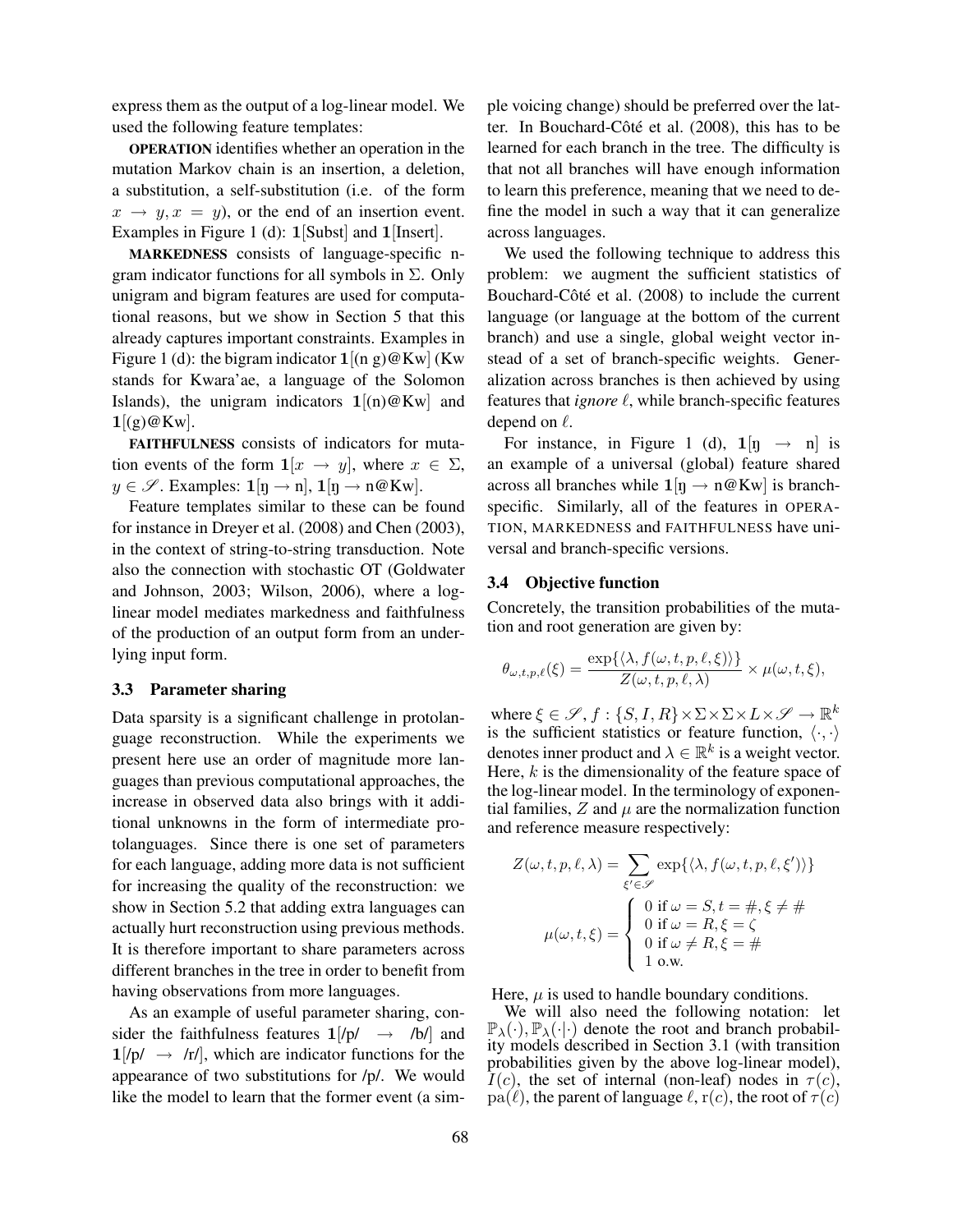express them as the output of a log-linear model. We used the following feature templates:

OPERATION identifies whether an operation in the mutation Markov chain is an insertion, a deletion, a substitution, a self-substitution (i.e. of the form  $x \rightarrow y, x = y$ , or the end of an insertion event. Examples in Figure 1 (d): 1 [Subst] and 1 [Insert].

MARKEDNESS consists of language-specific ngram indicator functions for all symbols in  $\Sigma$ . Only unigram and bigram features are used for computational reasons, but we show in Section 5 that this already captures important constraints. Examples in Figure 1 (d): the bigram indicator  $1[(n g)@Kw]$  (Kw stands for Kwara'ae, a language of the Solomon Islands), the unigram indicators  $1[(n)@Kw]$  and  $1[(g)@Kw].$ 

FAITHFULNESS consists of indicators for mutation events of the form  $\mathbf{1}[x \to y]$ , where  $x \in \Sigma$ ,  $y \in \mathscr{S}$ . Examples:  $\mathbf{1}[\eta \to \eta], \mathbf{1}[\eta \to \eta \mathcal{Q}$ Kw].

Feature templates similar to these can be found for instance in Dreyer et al. (2008) and Chen (2003), in the context of string-to-string transduction. Note also the connection with stochastic OT (Goldwater and Johnson, 2003; Wilson, 2006), where a loglinear model mediates markedness and faithfulness of the production of an output form from an underlying input form.

#### 3.3 Parameter sharing

Data sparsity is a significant challenge in protolanguage reconstruction. While the experiments we present here use an order of magnitude more languages than previous computational approaches, the increase in observed data also brings with it additional unknowns in the form of intermediate protolanguages. Since there is one set of parameters for each language, adding more data is not sufficient for increasing the quality of the reconstruction: we show in Section 5.2 that adding extra languages can actually hurt reconstruction using previous methods. It is therefore important to share parameters across different branches in the tree in order to benefit from having observations from more languages.

As an example of useful parameter sharing, consider the faithfulness features  $1/p \rightarrow$  /b/ and  $1/p \rightarrow |r|$ , which are indicator functions for the appearance of two substitutions for /p/. We would like the model to learn that the former event (a simple voicing change) should be preferred over the latter. In Bouchard-Côté et al.  $(2008)$ , this has to be learned for each branch in the tree. The difficulty is that not all branches will have enough information to learn this preference, meaning that we need to define the model in such a way that it can generalize across languages.

We used the following technique to address this problem: we augment the sufficient statistics of Bouchard-Côté et al. (2008) to include the current language (or language at the bottom of the current branch) and use a single, global weight vector instead of a set of branch-specific weights. Generalization across branches is then achieved by using features that *ignore*  $\ell$ , while branch-specific features depend on  $\ell$ .

For instance, in Figure 1 (d),  $1[n \rightarrow n]$  is an example of a universal (global) feature shared across all branches while  $1\left[\eta \rightarrow \eta \mathcal{Q} \right]$  is branchspecific. Similarly, all of the features in OPERA-TION, MARKEDNESS and FAITHFULNESS have universal and branch-specific versions.

#### 3.4 Objective function

Concretely, the transition probabilities of the mutation and root generation are given by:

$$
\theta_{\omega,t,p,\ell}(\xi) = \frac{\exp\{\langle \lambda, f(\omega,t,p,\ell,\xi) \rangle\}}{Z(\omega,t,p,\ell,\lambda)} \times \mu(\omega,t,\xi),
$$

where  $\xi \in \mathscr{S}, f : \{S, I, R\} \times \Sigma \times \Sigma \times L \times \mathscr{S} \to \mathbb{R}^k$ is the sufficient statistics or feature function,  $\langle \cdot, \cdot \rangle$ denotes inner product and  $\lambda \in \mathbb{R}^k$  is a weight vector. Here,  $k$  is the dimensionality of the feature space of the log-linear model. In the terminology of exponential families,  $Z$  and  $\mu$  are the normalization function and reference measure respectively:

$$
Z(\omega, t, p, \ell, \lambda) = \sum_{\xi' \in \mathscr{S}} \exp\{\langle \lambda, f(\omega, t, p, \ell, \xi') \rangle\}
$$

$$
\mu(\omega, t, \xi) = \begin{cases} 0 \text{ if } \omega = S, t = \#, \xi \neq \# \\ 0 \text{ if } \omega = R, \xi = \zeta \\ 0 \text{ if } \omega \neq R, \xi = \# \\ 1 \text{ o.w.} \end{cases}
$$

Here,  $\mu$  is used to handle boundary conditions.

We will also need the following notation: let  $\mathbb{P}_{\lambda}(\cdot), \mathbb{P}_{\lambda}(\cdot|\cdot)$  denote the root and branch probability models described in Section 3.1 (with transition probabilities given by the above log-linear model),  $I(c)$ , the set of internal (non-leaf) nodes in  $\tau(c)$ , pa( $\ell$ ), the parent of language  $\ell$ , r(c), the root of  $\tau(c)$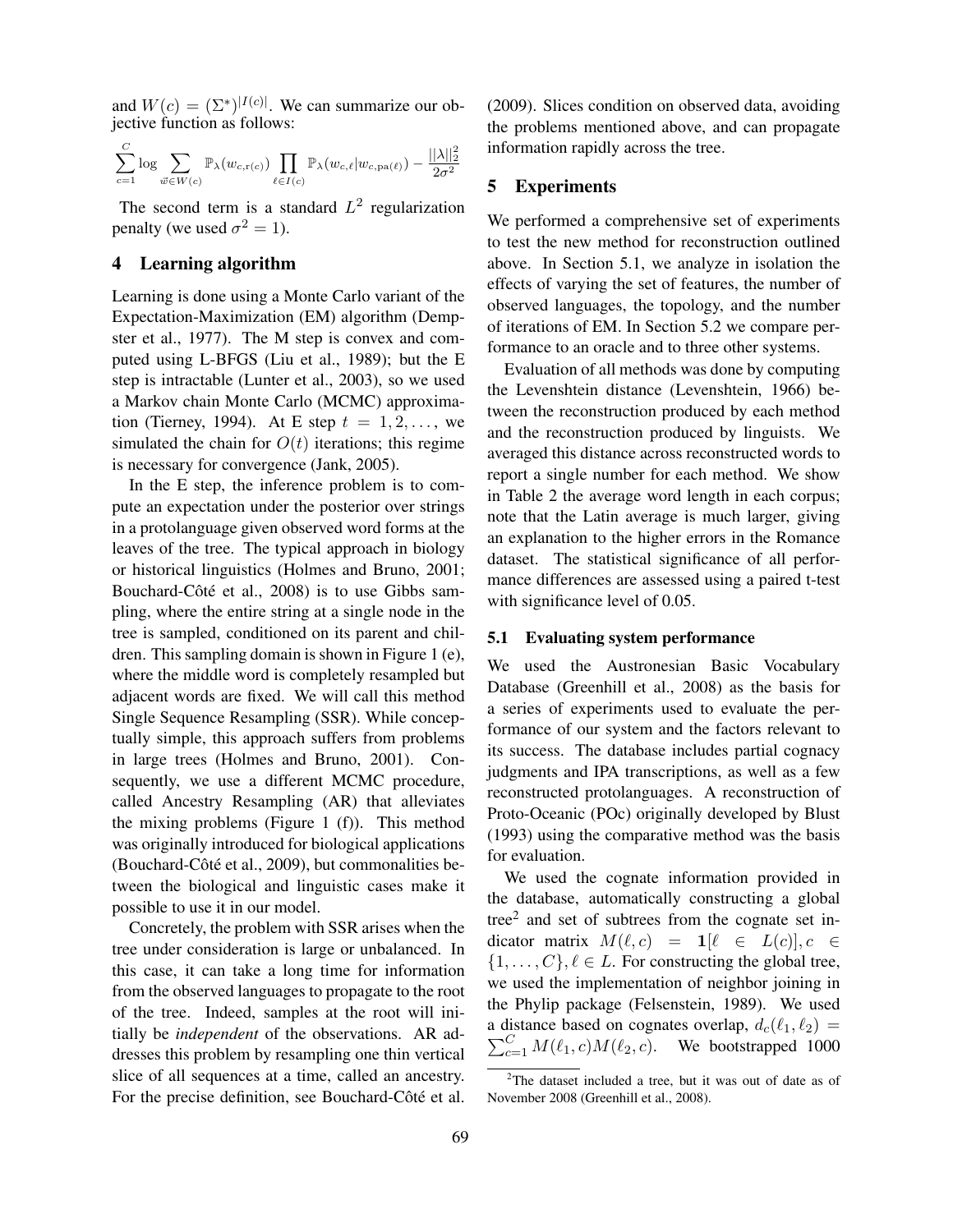and  $W(c) = (\Sigma^*)^{|I(c)|}$ . We can summarize our objective function as follows:

$$
\sum_{c=1}^C \log \sum_{\vec{w} \in W(c)} \mathbb{P}_{\lambda}(w_{c,\mathbf{r}(c)}) \prod_{\ell \in I(c)} \mathbb{P}_{\lambda}(w_{c,\ell}|w_{c,\mathbf{pa}(\ell)}) - \frac{||\lambda||_2^2}{2\sigma^2}
$$

The second term is a standard  $L^2$  regularization penalty (we used  $\sigma^2 = 1$ ).

### 4 Learning algorithm

Learning is done using a Monte Carlo variant of the Expectation-Maximization (EM) algorithm (Dempster et al., 1977). The M step is convex and computed using L-BFGS (Liu et al., 1989); but the E step is intractable (Lunter et al., 2003), so we used a Markov chain Monte Carlo (MCMC) approximation (Tierney, 1994). At E step  $t = 1, 2, \ldots$ , we simulated the chain for  $O(t)$  iterations; this regime is necessary for convergence (Jank, 2005).

In the E step, the inference problem is to compute an expectation under the posterior over strings in a protolanguage given observed word forms at the leaves of the tree. The typical approach in biology or historical linguistics (Holmes and Bruno, 2001; Bouchard-Côté et al., 2008) is to use Gibbs sampling, where the entire string at a single node in the tree is sampled, conditioned on its parent and children. This sampling domain is shown in Figure 1 (e), where the middle word is completely resampled but adjacent words are fixed. We will call this method Single Sequence Resampling (SSR). While conceptually simple, this approach suffers from problems in large trees (Holmes and Bruno, 2001). Consequently, we use a different MCMC procedure, called Ancestry Resampling (AR) that alleviates the mixing problems (Figure 1 (f)). This method was originally introduced for biological applications (Bouchard-Côté et al., 2009), but commonalities between the biological and linguistic cases make it possible to use it in our model.

Concretely, the problem with SSR arises when the tree under consideration is large or unbalanced. In this case, it can take a long time for information from the observed languages to propagate to the root of the tree. Indeed, samples at the root will initially be *independent* of the observations. AR addresses this problem by resampling one thin vertical slice of all sequences at a time, called an ancestry. For the precise definition, see Bouchard-Côté et al. (2009). Slices condition on observed data, avoiding the problems mentioned above, and can propagate information rapidly across the tree.

# 5 Experiments

We performed a comprehensive set of experiments to test the new method for reconstruction outlined above. In Section 5.1, we analyze in isolation the effects of varying the set of features, the number of observed languages, the topology, and the number of iterations of EM. In Section 5.2 we compare performance to an oracle and to three other systems.

Evaluation of all methods was done by computing the Levenshtein distance (Levenshtein, 1966) between the reconstruction produced by each method and the reconstruction produced by linguists. We averaged this distance across reconstructed words to report a single number for each method. We show in Table 2 the average word length in each corpus; note that the Latin average is much larger, giving an explanation to the higher errors in the Romance dataset. The statistical significance of all performance differences are assessed using a paired t-test with significance level of 0.05.

### 5.1 Evaluating system performance

We used the Austronesian Basic Vocabulary Database (Greenhill et al., 2008) as the basis for a series of experiments used to evaluate the performance of our system and the factors relevant to its success. The database includes partial cognacy judgments and IPA transcriptions, as well as a few reconstructed protolanguages. A reconstruction of Proto-Oceanic (POc) originally developed by Blust (1993) using the comparative method was the basis for evaluation.

We used the cognate information provided in the database, automatically constructing a global tree<sup>2</sup> and set of subtrees from the cognate set indicator matrix  $M(\ell, c) = \mathbf{1}[\ell \in L(c)], c \in$  $\{1, \ldots, C\}, \ell \in L$ . For constructing the global tree, we used the implementation of neighbor joining in the Phylip package (Felsenstein, 1989). We used a distance based on cognates overlap,  $d_c(\ell_1, \ell_2) =$  $\sum_{c=1}^{C} M(\ell_1, c) M(\ell_2, c)$ . We bootstrapped 1000

 $2$ The dataset included a tree, but it was out of date as of November 2008 (Greenhill et al., 2008).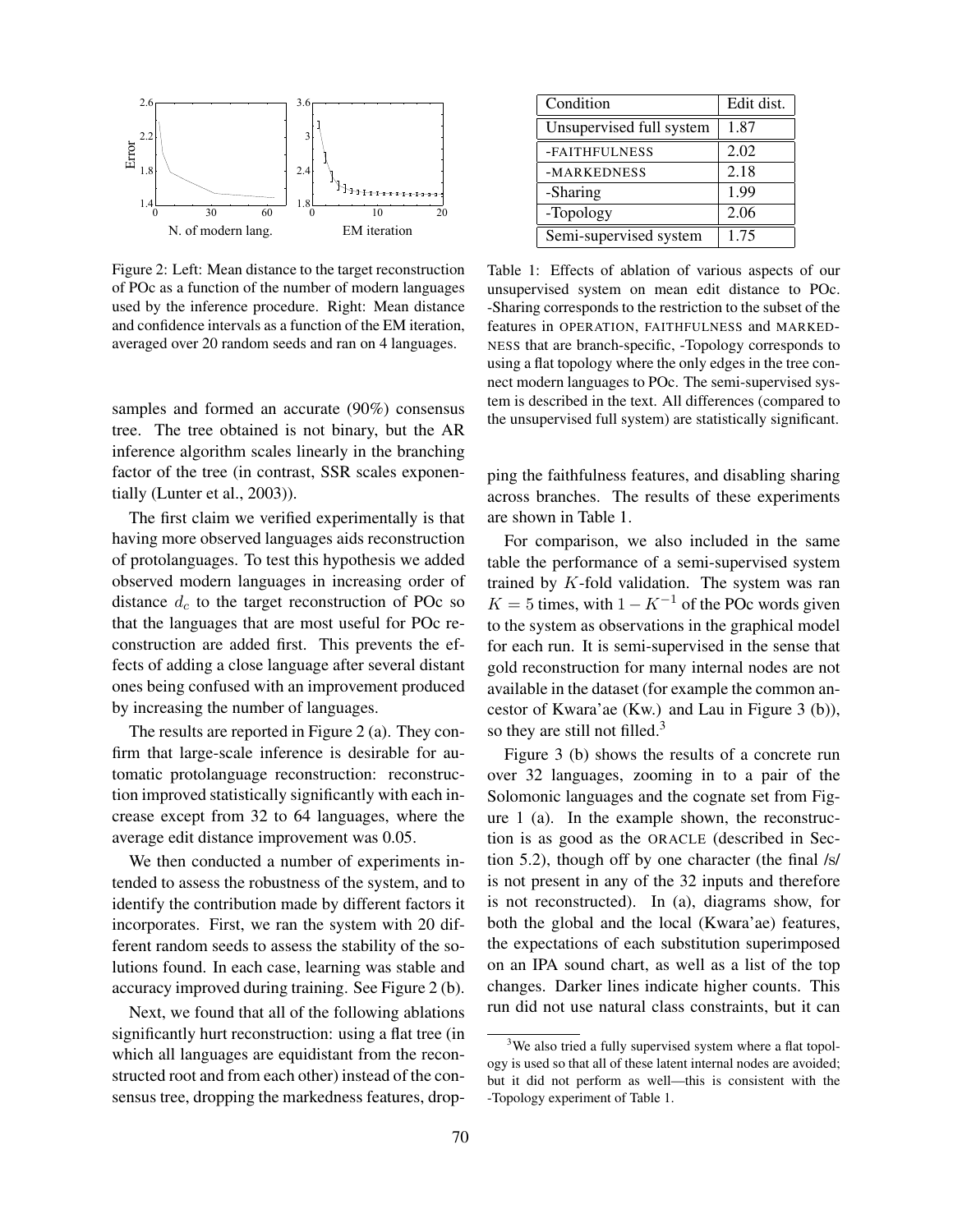

ber 2008, 124,468 lexical items from 587 languages mostly from the Austronesian language family. The database includes partial cognacy judgments and proto-languages. A reconstruction of Proto Oceanic (POc) originally developed by (Blust, 1993) using the comparative method was the basis for evaluation. We used the cognate information provided in the database, automatically constructing a global tree<sup>2</sup> of POc as a function of the number of modern languages used by the inference procedure. Right: Mean distance and confidence intervals as a function of the EM iteration, averaged over 20 random seeds Figure 2: Left: Mean distance to the target reconstruction averaged over 20 random seeds and ran on 4 languages.

package (Felsenstein, 1989). The distance matrix used the Hamming distance of cognate indi*<sup>c</sup>*=1 *M*(!1*, c*)*M*(!2*, c*). We bootstrapped 1000 samples and formed an accurate (90%) consensus tree. The tree obtained is not binary, but the AR inference algorithm scales linearly in the branching factor of the tree (in contrast, SSR  $T_{\rm eff}$  first claim we verified  $\epsilon$ having more observed languages aids reconstruction samples and formed an acc tree. The tree obtained is inference algorithm scales li factor of the tree (in contrast, SSR scales exponentially (Lunter et al., 2003)). samples and formed an accurate (90%) consensus tree. The tree obtained is not binary, but the AR inference algorithm scales linearly in the branching  $N_{\rm eff}$  that the optimum is not changed if we restrict the optimum is not changed if we restrict the  $\sim$ the minimization to be taken on *x* ∈ Σ(*O*)<sup>∗</sup> such

distance *d<sup>c</sup>* to the target reconstruction of POc so that the languages that are most useful for POc refects of adding a close language after several distant  $T_{\rm eff}$  included a tree, but as of  $\Delta$ was generated automatically and "has  $\mathbf{h}$ The first claim we verified experimentally is that having more observed languages aids reconstruction of protolanguages. To test this hypothesis we added observed modern languages in increasing order of distance  $d_c$  to the target reconstruction of POc so that the languages that are most useful for POc reconstruction are added first. This prevents the effects of adding a close language after several distant ones being confused with an improvement produced by increasing the number of languages.

> The results are reported in Figure 2 (a). They confirm that large-scale inference is desirable for automatic protolanguage reconstruction: reconstruction improved statistically significantly with each increase except from 32 to 64 languages, where the average edit distance improvement was 0.05.

> We then conducted a number of experiments intended to assess the robustness of the system, and to identify the contribution made by different factors it incorporates. First, we ran the system with 20 different random seeds to assess the stability of the solutions found. In each case, learning was stable and accuracy improved during training. See Figure 2 (b).

> Next, we found that all of the following ablations significantly hurt reconstruction: using a flat tree (in which all languages are equidistant from the reconstructed root and from each other) instead of the consensus tree, dropping the markedness features, drop-

| Condition                | Edit dist. |
|--------------------------|------------|
| Unsupervised full system | 1.87       |
| -FAITHFULNESS            | 2.02       |
| -MARKEDNESS              | 2.18       |
| -Sharing                 | 1.99       |
| -Topology                | 2.06       |
| Semi-supervised system   | 1.75       |

Table 1: Effects of ablation of various aspects of our unsupervised system on mean edit distance to POc. -Sharing corresponds to the restriction to the subset of the features in OPERATION, FAITHFULNESS and MARKED-NESS that are branch-specific, -Topology corresponds to using a flat topology where the only edges in the tree connect modern languages to POc. The semi-supervised system is described in the text. All differences (compared to the unsupervised full system) are statistically significant.

ping the faithfulness features, and disabling sharing across branches. The results of these experiments are shown in Table 1.

For comparison, we also included in the same table the performance of a semi-supervised system trained by K-fold validation. The system was ran  $K = 5$  times, with  $1 - K^{-1}$  of the POc words given to the system as observations in the graphical model for each run. It is semi-supervised in the sense that gold reconstruction for many internal nodes are not available in the dataset (for example the common ancestor of Kwara'ae (Kw.) and Lau in Figure 3 (b)), so they are still not filled.<sup>3</sup>

Figure 3 (b) shows the results of a concrete run over 32 languages, zooming in to a pair of the Solomonic languages and the cognate set from Figure 1 (a). In the example shown, the reconstruction is as good as the ORACLE (described in Section 5.2), though off by one character (the final /s/ is not present in any of the 32 inputs and therefore is not reconstructed). In (a), diagrams show, for both the global and the local (Kwara'ae) features, the expectations of each substitution superimposed on an IPA sound chart, as well as a list of the top changes. Darker lines indicate higher counts. This run did not use natural class constraints, but it can

<sup>&</sup>lt;sup>3</sup>We also tried a fully supervised system where a flat topology is used so that all of these latent internal nodes are avoided; but it did not perform as well—this is consistent with the -Topology experiment of Table 1.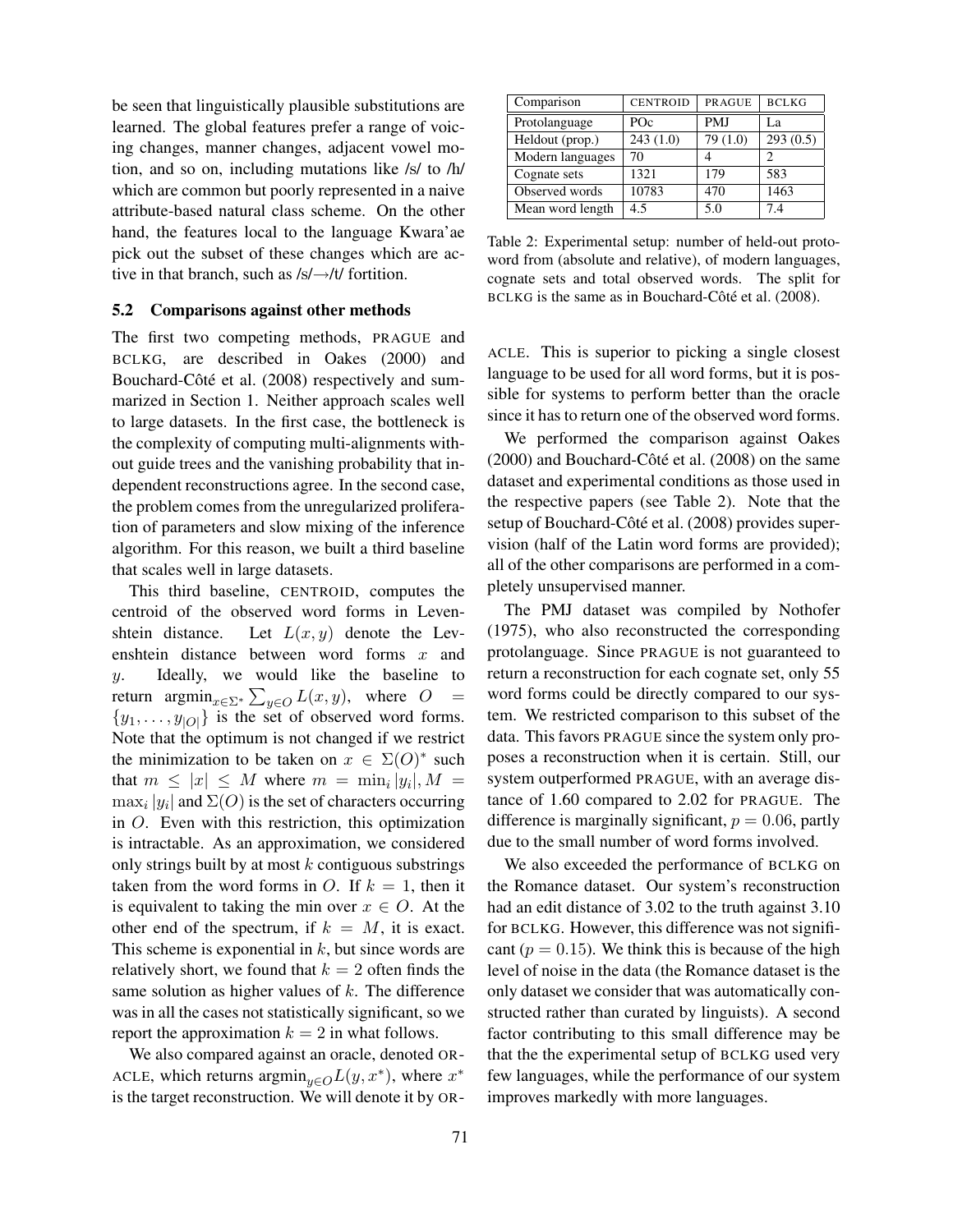be seen that linguistically plausible substitutions are learned. The global features prefer a range of voicing changes, manner changes, adjacent vowel motion, and so on, including mutations like /s/ to /h/ which are common but poorly represented in a naive attribute-based natural class scheme. On the other hand, the features local to the language Kwara'ae pick out the subset of these changes which are active in that branch, such as /s/→/t/ fortition.

### 5.2 Comparisons against other methods

The first two competing methods, PRAGUE and BCLKG, are described in Oakes (2000) and Bouchard-Côté et al. (2008) respectively and summarized in Section 1. Neither approach scales well to large datasets. In the first case, the bottleneck is the complexity of computing multi-alignments without guide trees and the vanishing probability that independent reconstructions agree. In the second case, the problem comes from the unregularized proliferation of parameters and slow mixing of the inference algorithm. For this reason, we built a third baseline that scales well in large datasets.

This third baseline, CENTROID, computes the centroid of the observed word forms in Levenshtein distance. Let  $L(x, y)$  denote the Levenshtein distance between word forms  $x$  and y. Ideally, we would like the baseline to return  $\operatorname{argmin}_{x \in \Sigma^*} \sum_{y \in O} L(x, y)$ , where  $O =$  $\{y_1, \ldots, y_{|O|}\}\$ is the set of observed word forms. Note that the optimum is not changed if we restrict the minimization to be taken on  $x \in \Sigma(O)^*$  such that  $m \leq |x| \leq M$  where  $m = \min_i |y_i|, M =$  $\max_i |y_i|$  and  $\Sigma(O)$  is the set of characters occurring in O. Even with this restriction, this optimization is intractable. As an approximation, we considered only strings built by at most  $k$  contiguous substrings taken from the word forms in O. If  $k = 1$ , then it is equivalent to taking the min over  $x \in O$ . At the other end of the spectrum, if  $k = M$ , it is exact. This scheme is exponential in  $k$ , but since words are relatively short, we found that  $k = 2$  often finds the same solution as higher values of  $k$ . The difference was in all the cases not statistically significant, so we report the approximation  $k = 2$  in what follows.

We also compared against an oracle, denoted OR-ACLE, which returns  $\operatorname{argmin}_{y \in O} L(y, x^*)$ , where  $x^*$ is the target reconstruction. We will denote it by OR-

| Comparison       | <b>CENTROID</b> | <b>PRAGUE</b> | <b>BCLKG</b> |
|------------------|-----------------|---------------|--------------|
| Protolanguage    | POc             | <b>PMJ</b>    | La           |
| Heldout (prop.)  | 243(1.0)        | 79 (1.0)      | 293(0.5)     |
| Modern languages | 70              |               | 2            |
| Cognate sets     | 1321            | 179           | 583          |
| Observed words   | 10783           | 470           | 1463         |
| Mean word length | 4.5             | 5.0           | 7.4          |

Table 2: Experimental setup: number of held-out protoword from (absolute and relative), of modern languages, cognate sets and total observed words. The split for BCLKG is the same as in Bouchard-Côté et al. (2008).

ACLE. This is superior to picking a single closest language to be used for all word forms, but it is possible for systems to perform better than the oracle since it has to return one of the observed word forms.

We performed the comparison against Oakes  $(2000)$  and Bouchard-Côté et al.  $(2008)$  on the same dataset and experimental conditions as those used in the respective papers (see Table 2). Note that the setup of Bouchard-Côté et al. (2008) provides supervision (half of the Latin word forms are provided); all of the other comparisons are performed in a completely unsupervised manner.

The PMJ dataset was compiled by Nothofer (1975), who also reconstructed the corresponding protolanguage. Since PRAGUE is not guaranteed to return a reconstruction for each cognate set, only 55 word forms could be directly compared to our system. We restricted comparison to this subset of the data. This favors PRAGUE since the system only proposes a reconstruction when it is certain. Still, our system outperformed PRAGUE, with an average distance of 1.60 compared to 2.02 for PRAGUE. The difference is marginally significant,  $p = 0.06$ , partly due to the small number of word forms involved.

We also exceeded the performance of BCLKG on the Romance dataset. Our system's reconstruction had an edit distance of 3.02 to the truth against 3.10 for BCLKG. However, this difference was not significant ( $p = 0.15$ ). We think this is because of the high level of noise in the data (the Romance dataset is the only dataset we consider that was automatically constructed rather than curated by linguists). A second factor contributing to this small difference may be that the the experimental setup of BCLKG used very few languages, while the performance of our system improves markedly with more languages.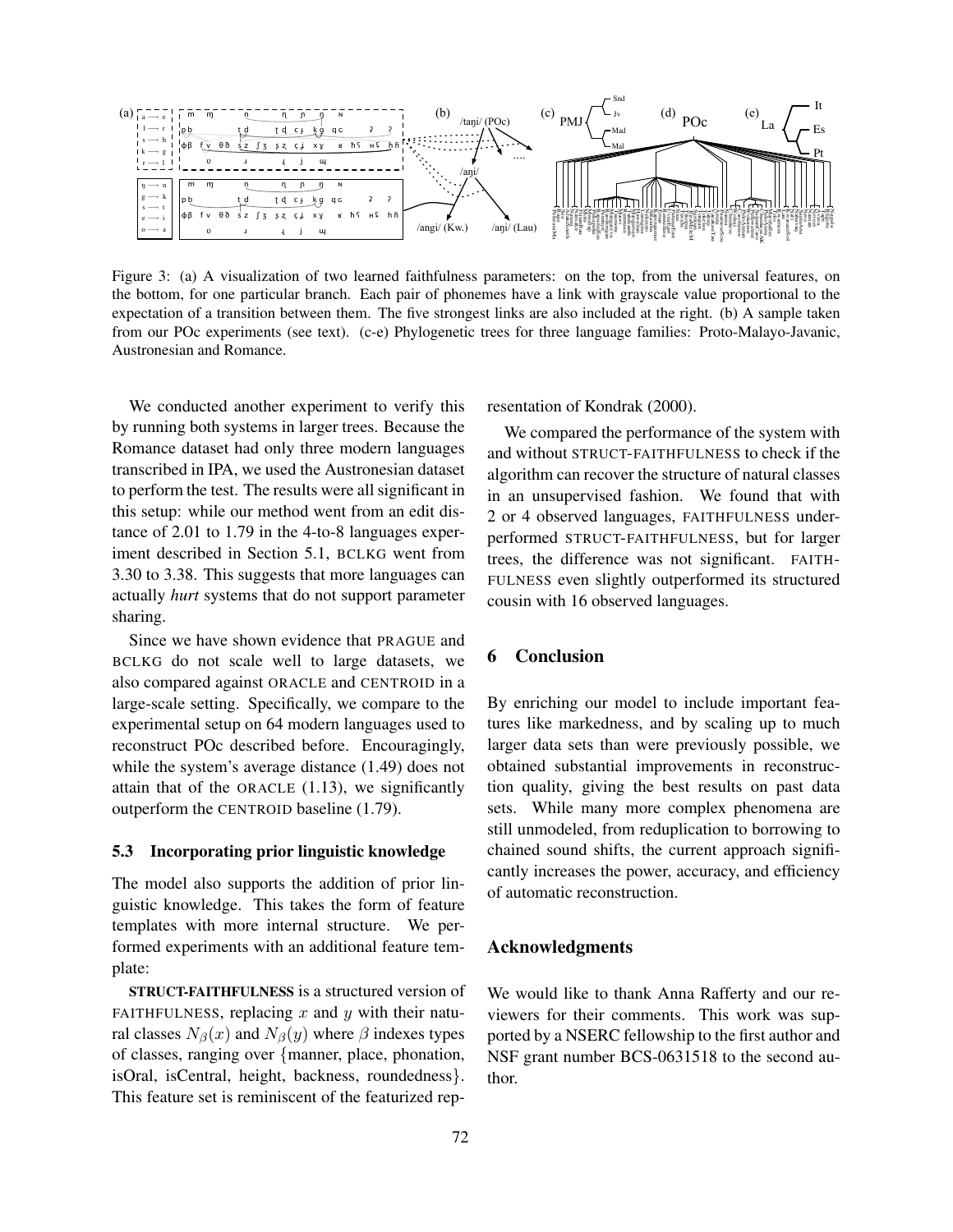

Figure 3: (a) A visualization of two learned faithfulness parameters: on the top, from the universal features, on o→a<br>re 3<br>oottc<br>ctati<br>oun<br><sup>7</sup>e c the bottom, for one particular branch. Each pair of phonemes have a link with grayscale value proportional to the expectation of a transition between them. The five strongest links are also included at the right. (b) A sample taken from our POc experiments (see text). (c-e) Phylogenetic trees for three language families: Proto-Malayo-Javanic, Austronesian and Romance.

1 transcribed in IPA, we used the Austronesian dataset We conducted another experiment to verify this by running both systems in larger trees. Because the Romance dataset had only three modern languages to perform the test. The results were all significant in this setup: while our method went from an edit distance of 2.01 to 1.79 in the 4-to-8 languages experiment described in Section 5.1, BCLKG went from 3.30 to 3.38. This suggests that more languages can actually *hurt* systems that do not support parameter sharing.

Since we have shown evidence that PRAGUE and BCLKG do not scale well to large datasets, we also compared against ORACLE and CENTROID in a large-scale setting. Specifically, we compare to the experimental setup on 64 modern languages used to reconstruct POc described before. Encouragingly, while the system's average distance (1.49) does not attain that of the ORACLE  $(1.13)$ , we significantly outperform the CENTROID baseline (1.79).

# 5.3 Incorporating prior linguistic knowledge

The model also supports the addition of prior linguistic knowledge. This takes the form of feature templates with more internal structure. We performed experiments with an additional feature template:

STRUCT-FAITHFULNESS is a structured version of FAITHFULNESS, replacing  $x$  and  $y$  with their natural classes  $N_{\beta}(x)$  and  $N_{\beta}(y)$  where  $\beta$  indexes types of classes, ranging over {manner, place, phonation, isOral, isCentral, height, backness, roundedness}. This feature set is reminiscent of the featurized representation of Kondrak (2000).

We compared the performance of the system with and without STRUCT-FAITHFULNESS to check if the algorithm can recover the structure of natural classes in an unsupervised fashion. We found that with 2 or 4 observed languages, FAITHFULNESS underperformed STRUCT-FAITHFULNESS, but for larger trees, the difference was not significant. FAITH-FULNESS even slightly outperformed its structured cousin with 16 observed languages.

### 6 Conclusion

By enriching our model to include important features like markedness, and by scaling up to much larger data sets than were previously possible, we obtained substantial improvements in reconstruction quality, giving the best results on past data sets. While many more complex phenomena are still unmodeled, from reduplication to borrowing to chained sound shifts, the current approach significantly increases the power, accuracy, and efficiency of automatic reconstruction.

### Acknowledgments

We would like to thank Anna Rafferty and our reviewers for their comments. This work was supported by a NSERC fellowship to the first author and NSF grant number BCS-0631518 to the second author.